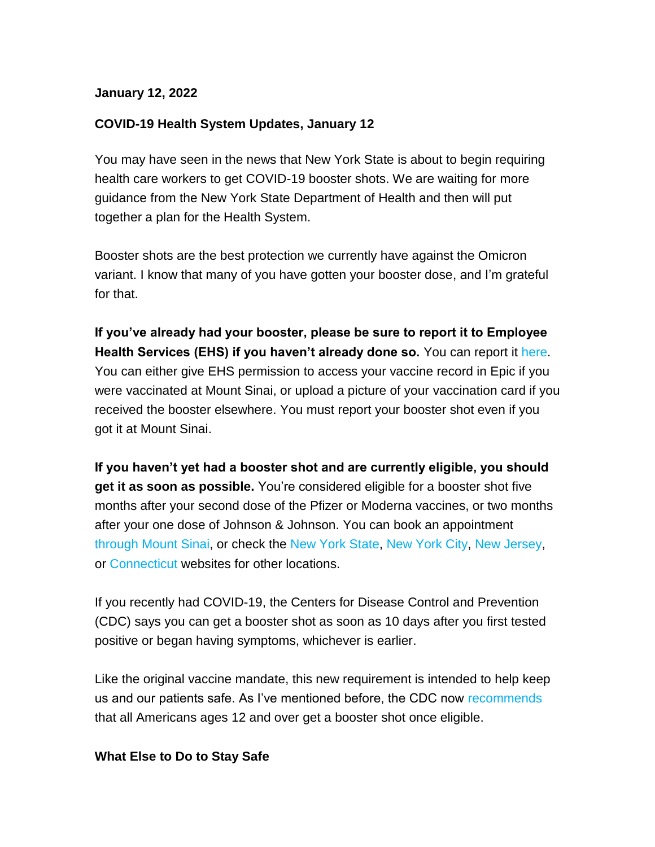#### **January 12, 2022**

## **COVID-19 Health System Updates, January 12**

You may have seen in the news that New York State is about to begin requiring health care workers to get COVID-19 booster shots. We are waiting for more guidance from the New York State Department of Health and then will put together a plan for the Health System.

Booster shots are the best protection we currently have against the Omicron variant. I know that many of you have gotten your booster dose, and I'm grateful for that.

**If you've already had your booster, please be sure to report it to Employee Health Services (EHS) if you haven't already done so.** You can report it [here.](https://s2.bl-1.com/h/doQ0501v?url=https://redcap.mountsinai.org/redcap/surveys/index.php?s=47JY9K9MFA&_ga=2.39756259.1988004426.1641500963-291248000.1636656895) You can either give EHS permission to access your vaccine record in Epic if you were vaccinated at Mount Sinai, or upload a picture of your vaccination card if you received the booster elsewhere. You must report your booster shot even if you got it at Mount Sinai.

**If you haven't yet had a booster shot and are currently eligible, you should get it as soon as possible.** You're considered eligible for a booster shot five months after your second dose of the Pfizer or Moderna vaccines, or two months after your one dose of Johnson & Johnson. You can book an appointment [through Mount Sinai,](https://s2.bl-1.com/h/doQ054Qx?url=https://redcap.mountsinai.org/redcap/surveys/?s=9ED4YFH9WX) or check the [New York State,](https://s2.bl-1.com/h/doQ059pz?url=https://covid19vaccine.health.ny.gov/) [New York City,](https://s2.bl-1.com/h/doQ05FC1?url=https://vaccinefinder.nyc.gov/) [New Jersey,](https://s2.bl-1.com/h/doQ05Lc3?url=https://covid19.nj.gov/pages/finder) or [Connecticut](https://s2.bl-1.com/h/doQ05Q05?url=https://portal.ct.gov/vaccine-portal) websites for other locations.

If you recently had COVID-19, the Centers for Disease Control and Prevention (CDC) says you can get a booster shot as soon as 10 days after you first tested positive or began having symptoms, whichever is earlier.

Like the original vaccine mandate, this new requirement is intended to help keep us and our patients safe. As I've mentioned before, the CDC now [recommends](https://s2.bl-1.com/h/doQ05VP7?url=https://www.cdc.gov/media/releases/2022/s0105-Booster-Shot.html) that all Americans ages 12 and over get a booster shot once eligible.

#### **What Else to Do to Stay Safe**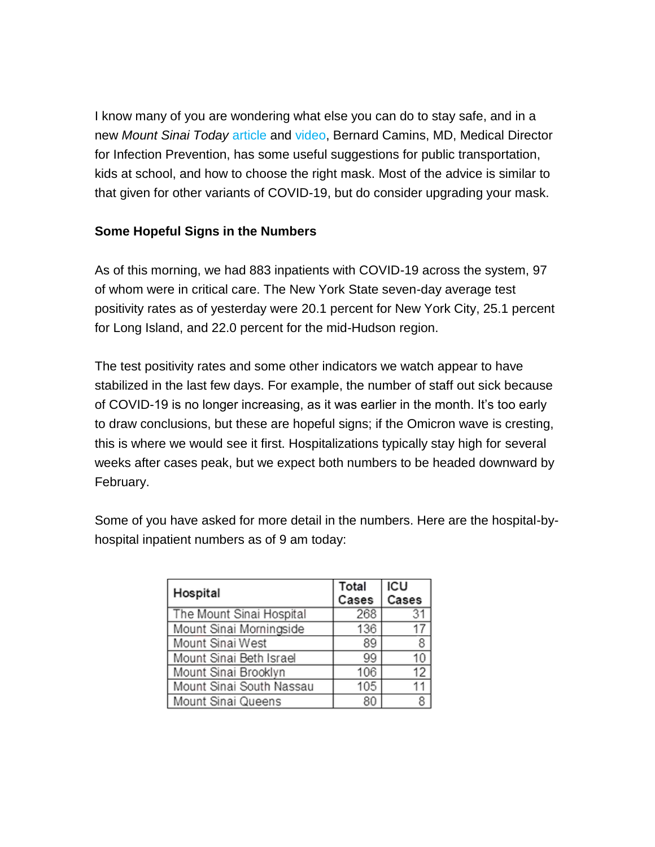I know many of you are wondering what else you can do to stay safe, and in a new *Mount Sinai Today* [article](https://s2.bl-1.com/h/doQ06bo9?url=https://health.mountsinai.org/blog/how-to-stay-safe-as-the-omicron-variant-spreads-in-new-york/) and [video,](https://s2.bl-1.com/h/doQ06gBC?url=https://youtu.be/uMm1ZT6Xk0M) Bernard Camins, MD, Medical Director for Infection Prevention, has some useful suggestions for public transportation, kids at school, and how to choose the right mask. Most of the advice is similar to that given for other variants of COVID-19, but do consider upgrading your mask.

## **Some Hopeful Signs in the Numbers**

As of this morning, we had 883 inpatients with COVID-19 across the system, 97 of whom were in critical care. The New York State seven-day average test positivity rates as of yesterday were 20.1 percent for New York City, 25.1 percent for Long Island, and 22.0 percent for the mid-Hudson region.

The test positivity rates and some other indicators we watch appear to have stabilized in the last few days. For example, the number of staff out sick because of COVID-19 is no longer increasing, as it was earlier in the month. It's too early to draw conclusions, but these are hopeful signs; if the Omicron wave is cresting, this is where we would see it first. Hospitalizations typically stay high for several weeks after cases peak, but we expect both numbers to be headed downward by February.

Some of you have asked for more detail in the numbers. Here are the hospital-byhospital inpatient numbers as of 9 am today:

| Hospital                 | Total<br>Cases | ICU<br>Cases |
|--------------------------|----------------|--------------|
| The Mount Sinai Hospital | 268            | 31           |
| Mount Sinai Morningside  | 136            | 17           |
| Mount Sinai West         | 89             | 8            |
| Mount Sinai Beth Israel  | 99             | 10           |
| Mount Sinai Brooklyn     | 106            | 12           |
| Mount Sinai South Nassau | 105            |              |
| Mount Sinai Queens       | 80             | g            |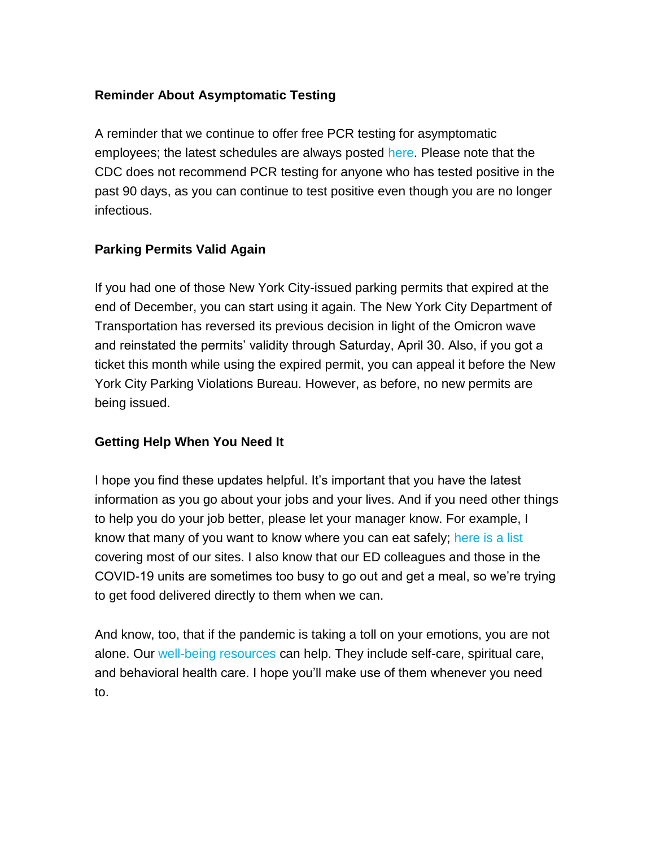## **Reminder About Asymptomatic Testing**

A reminder that we continue to offer free PCR testing for asymptomatic employees; the latest schedules are always posted [here.](https://s2.bl-1.com/h/doQ06mbF?url=https://www.mountsinai.org/about/covid19/staff-resources/employee-health/testing?accordionAction=accordion-jump_link-93841656&_ga=2.66312553.611363118.1641823108-1085987282.1583268007) Please note that the CDC does not recommend PCR testing for anyone who has tested positive in the past 90 days, as you can continue to test positive even though you are no longer infectious.

# **Parking Permits Valid Again**

If you had one of those New York City-issued parking permits that expired at the end of December, you can start using it again. The New York City Department of Transportation has reversed its previous decision in light of the Omicron wave and reinstated the permits' validity through Saturday, April 30. Also, if you got a ticket this month while using the expired permit, you can appeal it before the New York City Parking Violations Bureau. However, as before, no new permits are being issued.

## **Getting Help When You Need It**

I hope you find these updates helpful. It's important that you have the latest information as you go about your jobs and your lives. And if you need other things to help you do your job better, please let your manager know. For example, I know that many of you want to know where you can eat safely; [here is a list](https://s2.bl-1.com/h/doQ06qzH?url=https://www.mountsinai.org/files/MSHealth/Assets/HS/About/Coronavirus/MSHS_COVID-19_Designated-SoDistanced_Eating_Spaces.pdf) covering most of our sites. I also know that our ED colleagues and those in the COVID-19 units are sometimes too busy to go out and get a meal, so we're trying to get food delivered directly to them when we can.

And know, too, that if the pandemic is taking a toll on your emotions, you are not alone. Our [well-being resources](https://s2.bl-1.com/h/doQ06vNK?url=https://www.mountsinai.org/files/MSHealth/Assets/HS/About/Coronavirus/MS-Staff-Support-Resources.pdf) can help. They include self-care, spiritual care, and behavioral health care. I hope you'll make use of them whenever you need to.